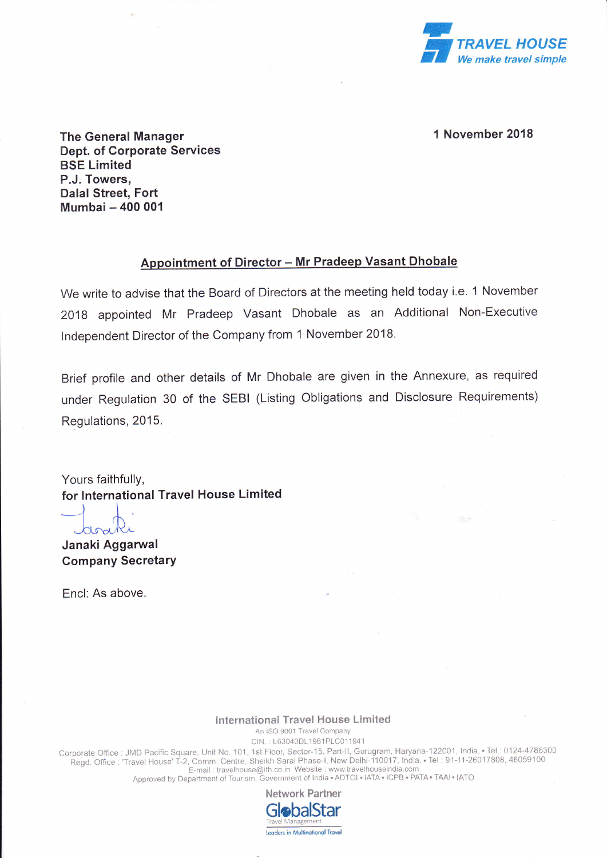

## 1 November 2018

The General Manager Dept. of Corporate Services BSE Limited P.J. Towers, Dalal Street, Fort Mumbai - 400 001

## Appointment of Director - Mr Pradeep Vasant Dhobale

We write to advise that the Board of Directors at the meeting held today i.e. 1 November 2018 appointed Mr Pradeep Vasant Dhobale as an Additional Non-Executive lndependent Director of the Company from 1 November 2018.

Brief profile and other details of Mr Dhobale are given in the Annexure, as required under Regulation 30 of the SEBI (Listing Obligations and Disclosure Requirements) Regulations, 2015.

Yours faithfully, for lnternational Travel House Limited

ard

Janaki Aggarwal Company Secretary

Encl: As above.

## lnternational Travel House Limited

An ISO 9001 Travel Company

CIN.: L63040DL1981PLC011941

Corporate Office : JMD Pacific Square, Unit No. 101, 1st Floor, Sector-15, Part-II, Gurugram, Haryana-122001, India, • Tel.: 0124-478630 Regd. Office : 'Travel House' T-2, Comm. Centre, Sheikh Sarai Phase-I, New Delhi-110017, India, • Tel : 91-11-26017808, 4605910<br>E-mail : travelhouse@ith.co.in Website : www.travelhouseindia.com<br>Approved by Department of